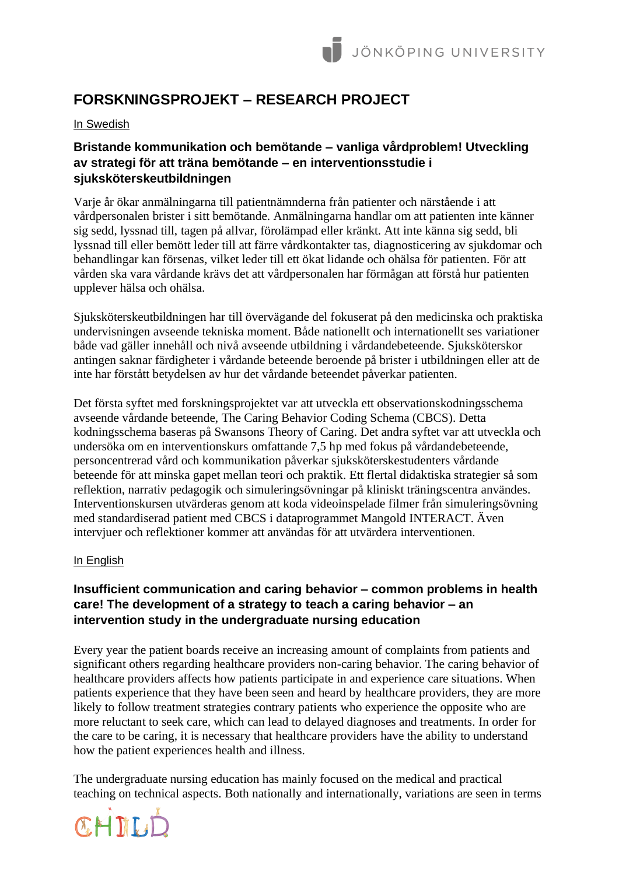# **FORSKNINGSPROJEKT – RESEARCH PROJECT**

# In Swedish

# **Bristande kommunikation och bemötande – vanliga vårdproblem! Utveckling av strategi för att träna bemötande – en interventionsstudie i sjuksköterskeutbildningen**

Varje år ökar anmälningarna till patientnämnderna från patienter och närstående i att vårdpersonalen brister i sitt bemötande. Anmälningarna handlar om att patienten inte känner sig sedd, lyssnad till, tagen på allvar, förolämpad eller kränkt. Att inte känna sig sedd, bli lyssnad till eller bemött leder till att färre vårdkontakter tas, diagnosticering av sjukdomar och behandlingar kan försenas, vilket leder till ett ökat lidande och ohälsa för patienten. För att vården ska vara vårdande krävs det att vårdpersonalen har förmågan att förstå hur patienten upplever hälsa och ohälsa.

Sjuksköterskeutbildningen har till övervägande del fokuserat på den medicinska och praktiska undervisningen avseende tekniska moment. Både nationellt och internationellt ses variationer både vad gäller innehåll och nivå avseende utbildning i vårdandebeteende. Sjuksköterskor antingen saknar färdigheter i vårdande beteende beroende på brister i utbildningen eller att de inte har förstått betydelsen av hur det vårdande beteendet påverkar patienten.

Det första syftet med forskningsprojektet var att utveckla ett observationskodningsschema avseende vårdande beteende, The Caring Behavior Coding Schema (CBCS). Detta kodningsschema baseras på Swansons Theory of Caring. Det andra syftet var att utveckla och undersöka om en interventionskurs omfattande 7,5 hp med fokus på vårdandebeteende, personcentrerad vård och kommunikation påverkar sjuksköterskestudenters vårdande beteende för att minska gapet mellan teori och praktik. Ett flertal didaktiska strategier så som reflektion, narrativ pedagogik och simuleringsövningar på kliniskt träningscentra användes. Interventionskursen utvärderas genom att koda videoinspelade filmer från simuleringsövning med standardiserad patient med CBCS i dataprogrammet Mangold INTERACT. Även intervjuer och reflektioner kommer att användas för att utvärdera interventionen.

# In English

# **Insufficient communication and caring behavior – common problems in health care! The development of a strategy to teach a caring behavior – an intervention study in the undergraduate nursing education**

Every year the patient boards receive an increasing amount of complaints from patients and significant others regarding healthcare providers non-caring behavior. The caring behavior of healthcare providers affects how patients participate in and experience care situations. When patients experience that they have been seen and heard by healthcare providers, they are more likely to follow treatment strategies contrary patients who experience the opposite who are more reluctant to seek care, which can lead to delayed diagnoses and treatments. In order for the care to be caring, it is necessary that healthcare providers have the ability to understand how the patient experiences health and illness.

The undergraduate nursing education has mainly focused on the medical and practical teaching on technical aspects. Both nationally and internationally, variations are seen in terms